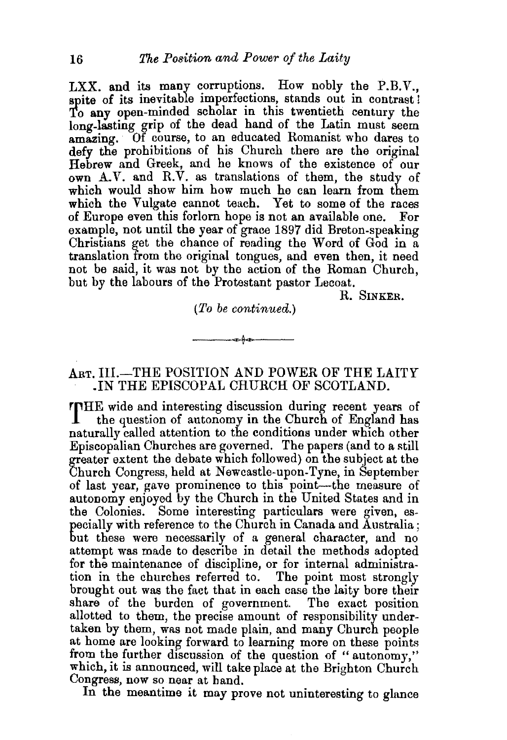LXX. and its many corruptions. How nobly the P.B.V., spite of its inevitable imperfections, stands out in contrast! To any open-minded scholar in this twentieth century the long-lasting grip of the dead hand of the Latin must seem amazing. Of course, to an educated Romanist who dares to defy the prohibitions of his Church there are the original Hebrew and Greek, and he knows of the existence of our own A.V. and R.V. as translations of them, the study of which would show him how much he can learn from them which the Vulgate cannot teach. Yet to some of the races of Europe even this forlorn hope is not an available one. For example, not until the year of grace 1897 did Breton-speaking Christians get the chance of reading the Word of God in a translation from the original tongues, and even then, it need not be said, it was not by the action of the Roman Church, but by the labours of the Protestant pastor Lecoat.

R. SINKER.

## *(To be continued.)*

 $-$ 

## ART. III.-THE POSITION AND POWER OF THE LAITY .IN THE EPISCOPAL CHURCH OF SCOTLAND.

rrHE wide and interesting discussion during recent years of the question of autonomy in the Church of England has naturally called attention to the conditions under which other Episcopalian Churches are governed. The papers (and to a still greater extent the debate which followed) on the subject at the Church Congress, held at Newcastle-upon-Tyne, in September of last year, gave prominence to this point-the measure of autonomy enjoyed by the Church in the United States and in the Colonies. Some interesting particulars were given, especially with reference to the Church in Canada and Australia; but these were necessarily of a general character, and no attempt was made to describe in detail the methods adopted for the maintenance of discipline, or for internal administration in the churches referred to. The point most strongly brought out was the fact that in each case the laity bore their share of the burden of government. The exact position allotted to them, the precise amount of responsibility undertaken by them, was not made plain, and many Church people at home are looking forward to learning more on these points from the further discussion of the question of "autonomy," which, it is announced, will take place at the Brighton Church Congress, now so near at hand.

In the meantime it may prove not uninteresting to glance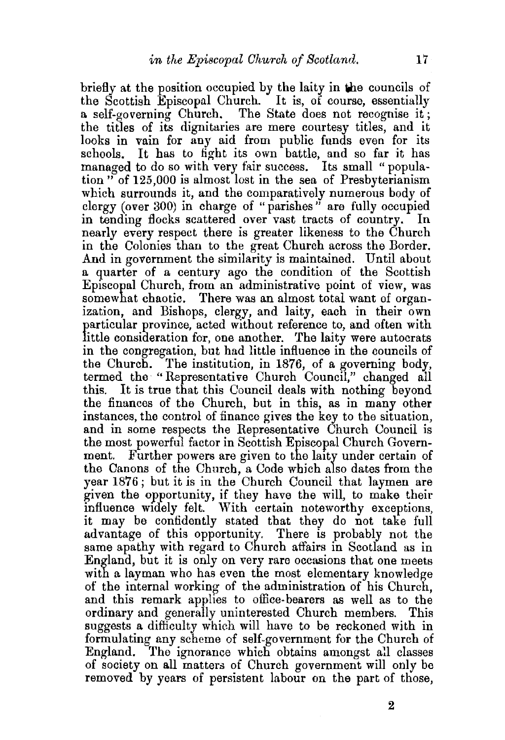briefly at the position occupied by the laity in the councils of the Scottish Episcopal Church. It is, of course, essentially a self-governing Church. The State does not recognise it; the titles of its dignitaries are mere courtesy titles, and it looks in vain for any aid from public funds even for its schools. It has to fight its own battle, and so far it has managed to do so with very fair success. Its small " population" of 125,000 is almost lost in the sea of Presbyterianism which surrounds it, and the comparatively numerous body of clergy (over 300) in charge of "parishes" are fully occupied<br>in tending flocks scattered over yast tracts of country. In in tending flocks scattered over vast tracts of country. nearly every respect there is greater likeness to the Church in the Colonies than to the great Church across the Border. And in government the similarity is maintained. Until about a quarter of a century ago the condition of the Scottish Episcopal Church, from an administrative point of view, was somewhat chaotic. There was an almost total want of organization, and Bishops, clergy, and laity, each in their own particular province, acted without reference to, and often with little consideration for, one another. The laity were autocrats in the congregation, but had little influence in the councils of the Church. The institution, in 1876, of a governing body, termed the "Representative Church Council," changed all It is true that this Council deals with nothing beyond the finances of the Church, but in this, as in many other instances, the control of finance gives the key to the situation, and in some respects the Representative Church Council is the most powerful factor in Scottish Episcopal Church Government. Further powers are given to the laity under certain of the Canons of the Church, a Code which also dates from the year 1876; but it is in the Church Council that laymen are given the opportunity, if they have the will, to make their influence widely felt. With certain noteworthy exceptions, it may be confidently stated that they do not take full advantage of this opportunity. There is probably not the same apathy with regard to Church affairs in Scotland as in England, but it is only on very rare occasions that one meets with a layman who has even the most elementary knowledge of the internal working of the administration of his Church, and this remark applies to office-bearers as well as to the ordinary and generally uninterested Church members. This suggests a difficulty which will have to be reckoned with in formulating any scheme of self-government for the Church of England. The ignorance which obtains amongst all classes of society on all matters of Church government will only be removed by years of persistent labour on the part of those,

2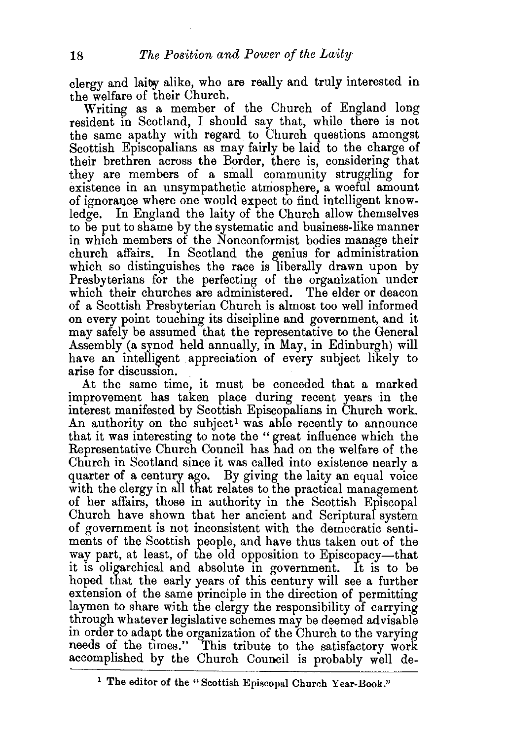clergy and laity alike, who are really and truly interested in the welfare of their Church.

Writing as a member of the Church of England long resident in Scotland, I should say that, while there is not the same apathy with regard to Church questions amongst Scottish Episcopalians as may fairly be laid to the charge of their brethren across the Border, there is, considering that they are members of a small community struggling for existence in an unsympathetic atmosphere, a woeful amount of ignorance where one would expect to find intelligent knowledge. In England the laity of the Church allow themselves to be put to shame by the systematic and business-like manner in which members of the Nonconformist bodies manage their church affairs. In Scotland the genius for administration which so distinguishes the race is liberally drawn upon by Presbyterians for the perfecting of the organization under which their churches are administered. The elder or deacon of a Scottish Presbyterian Church is almost too well informed on every point touching its discipline and government, and it may safely be assumed that the representative to the General Assembly (a synod held annually, in May, in Edinburgh) will have an intelligent appreciation of every subject likely to arise for discussion.

At the same time, it must be conceded that a marked improvement has taken place during recent years in the interest manifested by Scottish Episcopalians in Church work. An authority on the subject<sup>1</sup> was able recently to announce that it was interesting to note the "great influence which the Representative Church Council has had on the welfare of the Church in Scotland since it was called into existence nearly a quarter of a century ago. By giving the laity an equal voice with the clergy in all that relates to the practical management of her affairs, those in authority in the Scottish Episcopal Church have shown that her ancient and Scriptural system of government is not inconsistent with the democratic sentiments of the Scottish people, and have thus taken out of the way part, at least, of the old opposition to Episcopacy-that it is oligarchical and absolute in government. It is to be hoped that the early years of this century will see a further extension of the same principle in the direction of permitting laymen to share with the clergy the responsibility of carrying through whatever legislative schemes may be deemed advisable m order to adapt the organization of the Church to the varying needs of the times." This tribute to the satisfactory work accomplished by the Church Council is probably well de-

<sup>&</sup>lt;sup>1</sup> The editor of the "Scottish Episcopal Church Year-Book."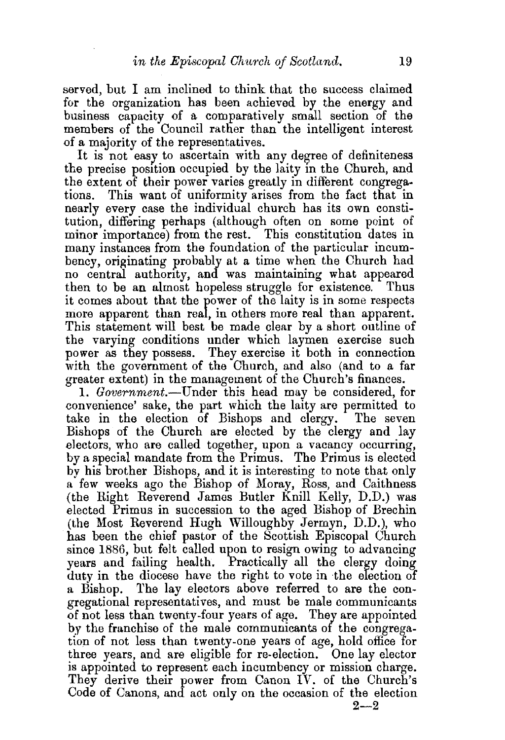served, but I am inclined to think that the success claimed for the organization has been achieved by the energy and business capacity of a comparatively small section of the members of the Council rather than the intelligent interest of a majority of the representatives.

It is not easy to ascertain with any degree of definiteness the precise position occupied by the laity in the Church, and the extent of their power varies greatly in different congregations. This want of uniformity arises from the fact that in nearly every case the individual church has its own constitution, differing perhaps (although often on some point of minor importance) from the rest. This constitution dates in many instances from the foundation of the particular incumbency, originating probably at a time when the Church had no central authority, and was maintaining what appeared then to be an almost hopeless struggle for existence. Thus it comes about that the power of the laity is in some respects more apparent than real, in others more real than apparent. This statement will best be made clear by a short outline of the varying conditions under which laymen exercise such power as they possess. They exercise it both in connection with the government of the Church, and also (and to a far greater extent) in the management of the Church's finances.

1. *Government.-Under* this head may be considered, for convenience' sake, the part which the laity are permitted to take in the election of Bishops and clergy. The seven Bishops of the Church are elected by the clergy and lay electors, who are called together, upon a vacancy occurring, by a special mandate from the Primus. The Primus is elected by his brother Bishops, and it is interesting to note that only a few weeks ago the Bishop of Moray, Ross, and Caithness (the Right Reverend James Butler Knill Kelly, D.D.) was elected Primus in succession to the aged Bishop of Brechin (the Most Reverend Hugh Willoughby Jermyn, D.D.), who has been the chief pastor of the Scottish Episcopal Church since 1886, but felt called upon to resign owing to advancing years and failing health. Practically all the clergy doing duty in the diocese have the right to vote in the election of a Bishop. The lay electors above referred to are the congregational representatives, and must be male communicants of not less than twenty-four years of age. They are appointed by the franchise of the male communicants of the congregation of not less than twenty-one years of age, hold office for three years, and are eligible for re-election. One lay elector is appointed to represent each incumbency or mission charge. They derive their power from Canon IV. of the Church's Code of Canons, and act only on the occasion of the election  $2 - 2$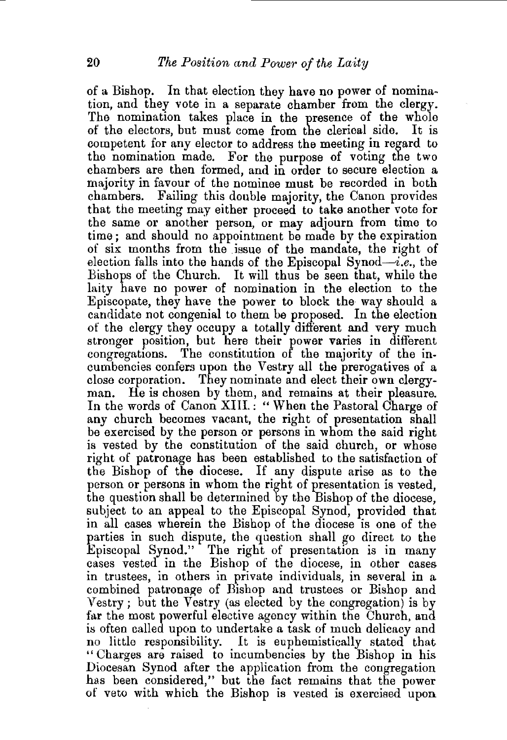of a Bishop. In that election they have no power of nomina~ tion, and they vote in a separate chamber from the clergy. The nomination takes place in the presence of the whole of the electors, but must come from the clerical side. It is competent for any elector to address the meeting in regard to the nomination made. For the purpose of voting the two chambers are then formed, and in order to secure election a majority in favour of the nominee must be recorded in both chambers. Failing this double majority, the Canon provides that the meeting may either proceed to take another vote for the same or another person, or may adjourn from time to time; and should no appointment be made by the expiration of six months from the issue of the mandate, the right of election falls into the hands of the Episcopal Synod- $i.e.,$  the Bishops of the Church. It will thus be seen that, while the laity have no power of nomination in the election to the Episcopate, they have the power to block the way should a candidate not congenial to them be proposed. In the election of the clergy they occupy a totally different and very much stronger position, but here their power varies in different congregations. The constitution of the majority of the incumbencies confers upon the Vestry all the prerogatives of a close corporation. They nominate and elect their own clergyman. He is chosen by them, and remains at their pleasure. In the words of Canon XIII.: "When the Pastoral Charge of any church becomes vacant, the right of presentation shall be exercised by the person or persons in whom the said right is vested by the constitution of the said church, or whose right of patronage has been established to the satisfaction of the Bishop of the diocese. If any dispute arise as to the person or persons in whom the right of presentation is vested, the question shall be determined by the Bishop of the diocese, subject to an appeal to the Episcopal Synod, provided that in all cases wherein the Bishop of the diocese is one of the parties in such dispute, the question shall go direct to the Episcopal Synod." The right of presentation is in many cases vested in the Bishop of the diocese, in other cases in trustees, in others in private individuals, in several in a combined patronage of Bishop and trustees or Bishop and Vestry ; but the Vestry (as elected by the congregation) is by far the most powerful elective agency within the Church, and is often called upon to undertake a task of much delicacy and no little responsibility. It is euphemistically stated that "Charges are raised to incumbencies by the Bishop in his Diocesan Synod after the application from the congregation has been considered," but the fact remains that the power of veto with which the Bishop is vested is exercised upon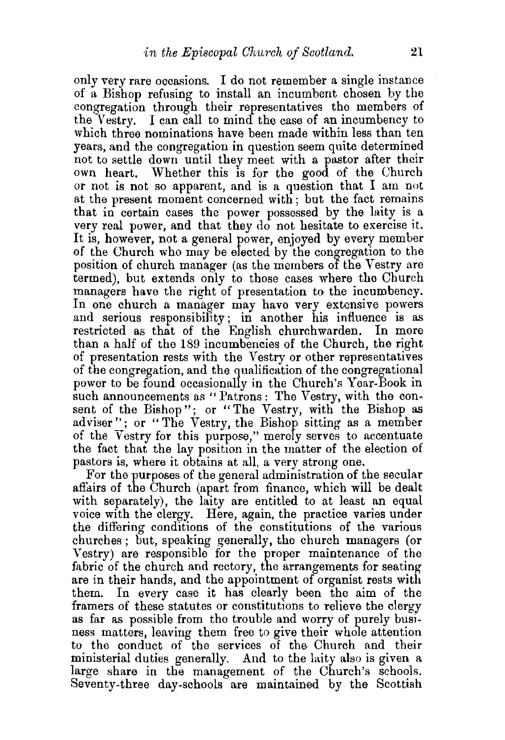only very rare occasions. I do not remember a single instance of a Bishop refusing to install an incumbent chosen by the congregation through their representatives the members of the Vestry. I can call to mind the case of an incumbency to which three nominations have been made within less than ten years, and the congregation in question seem quite determined not to settle down until they meet with a pastor after their own heart. Whether this is for the good of the Church or not is not so apparent, and is a question that I am not at the present moment concerned with; but the fact remains that in certain cases the power possessed by the laity is a very real power, and that they do not hesitate to exercise it. It is, however, not a general power, enjoyed by every member of the Church who may be elected by the congregation to the position of church manager (as the members of the Vestry are termed), but extends only to those cases where the Church managers have the right of presentation to the incumbency. In one church a manager may have very extensive powers and serious responsibility; in another his influence is as restricted as that of the English churchwarden. In more than a half of the 189 incumbencies of the Church, the right of presentation rests with the Vestry or other representatives of the congregation, and the qualification of the congregational power to be found occasionally in the Church's Year-Book in such announcements as "Patrons: The Vestry, with the consent of the Bishop"; or "The Vestry, with the Bishop as adviser"; or "The Vestry, the Bishop sitting as a member of the Vestry for this purpose," merely serves to accentuate the fact that the lay position in the matter of the election of pastors is, where it obtains at all, a very strong one.

For the purposes of the general administration of the secular affairs of the Church (apart from finance, which will be dealt with separately), the laity are entitled to at least an equal voice with the clergy. Here, again, the practice varies under the differing conditions of the constitutions of the various churches; but, speaking generally, the church managers (or Vestry) are responsible for the proper maintenance of tho fabric of the church and rectory, the arrangements for seating are in their hands, and the appointment of organist rests with them. In every case it has clearly been the aim of the framers of these statutes or constitutions to relieve the clergy as far as possible from the trouble and worry of purely business matters, leaving them free to give their whole attention to the conduct of the services of the Church and their ministerial duties generally. And to the laity also is given a large share in the management of the Church's schools. Seventy-three day-schools are maintained by the Scottish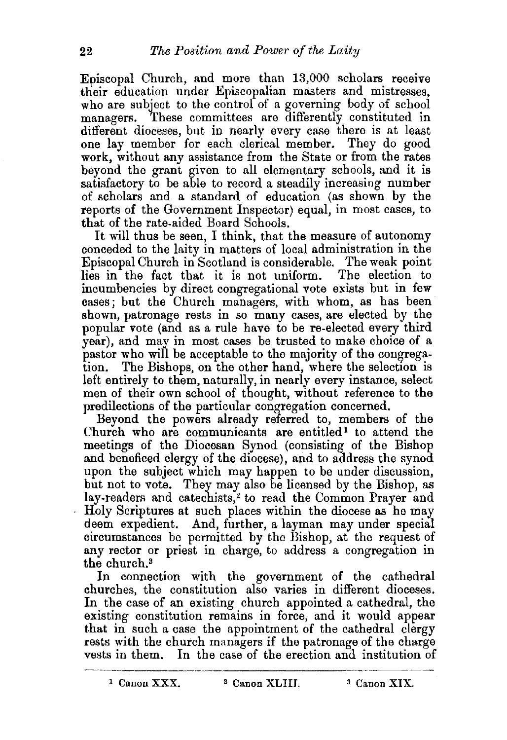Episcopal Church, and more than 13,000 scholars receive their education under Episcopalian masters and mistresses, who are subject to the control of a governing body of school managers. These committees are differently constituted in different dioceses, but in nearly every case there is at least one lay member for each clerical member. They do good work, without any assistance from the State or from the rates beyond the grant given to all elementary schools, and it is satisfactory to be able to record a steadily increasing number of scholars and a standard of education (as shown by the reports of the Government Inspector) equal, in most cases, to that of the rate-aided Board Schools.

It will thus be seen, I think, that the measure of autonomy conceded to the laity in matters of local administration in the Episcopal Church in Scotland is considerable. The weak point lies in the fact that it is not uniform. incumbencies by direct congregational vote exists but in few cases; but the Church managers, with whom, as has been shown, patronage rests in so many cases, are elected by the popular vote (and as a rule have to be re-elected every third year), and may in most cases be trusted to make choice of a pastor who will be acceptable to the majority of the congregation. The Bishops, on the other hand, where the selection is )eft entirely to them, naturally, in nearly every instance, select men of their own school of thought, without reference to the predilections of the particular congregation concerned.

Beyond the powers already referred to, members of the Church who are communicants are entitled<sup>1</sup> to attend the meetings of the Diocesan Synod (consisting of the Bishop and beneficed clergy of the diocese), and to address the synod upon the subject which may happen to be under discussion, but not to vote. They may also be licensed by the Bishop, as lay-readers and catechists,<sup>2</sup> to read the Common Prayer and Holy Scriptures at such places within the diocese as he may deem expedient. And, further, a layman may under special circumstances be permitted by the Bishop, at the request of any rector or priest in charge, to address a congregation in the church.<sup>3</sup>

In connection with the government of the cathedral churches, the constitution also varies in different dioceses. In the case of an existing church appointed a cathedral, the existing constitution remains in force, and it would appear that in such a case the appointment of the cathedral clergy rests with the church managers if the patronage of the charge vests in them. In the case of the erection and institution of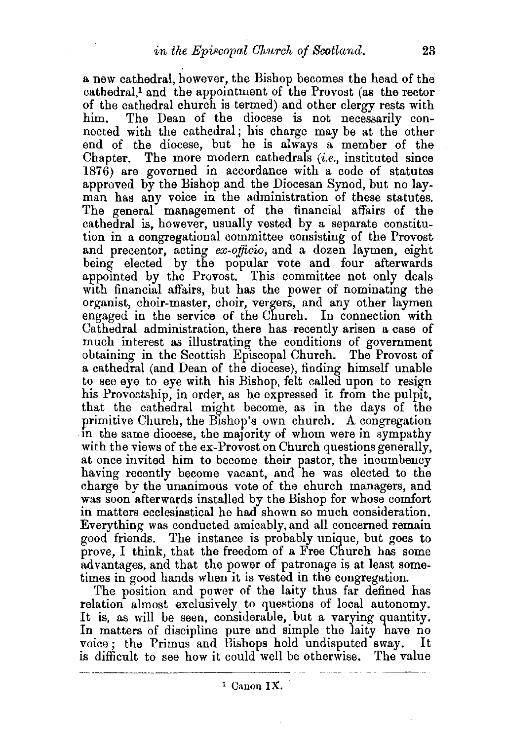a new cathedral, however, the Bishop becomes the head of the cathedral,<sup>1</sup> and the appointment of the Provost (as the rector of the cathedral church is termed) and other clergy rests with him. The Dean of the diocese is not necessarily con-The Dean of the diocese is not necessarily connected with the cathedral; his charge may be at the other end of the diocese, but he is always a member of the Chapter. The more modern cathedrals *(i.e.,* instituted since 1876) are governed in accordance with a code of statutes approved by the Bishop and the Diocesan Synod, but no layman has any voice in the administration of these statutes. The general management of the financial affairs of the cathedral is, however, usually vested by a separate constitution in a congregational committee consisting of the Provost and precentor, acting *ex-officio,* and a dozen laymen, eight being elected by the popular vote and four afterwards appointed by the Provost. This committee not only deals with financial affairs, but has the power of nominating the organist, choir-master, choir, vergers, and any other laymen engaged in the service of the Church. In connection with Cathedral administration, there has recently arisen a case of much interest as illustrating the conditions of government obtaining in the Scottish Episcopal Church. The Provost of a cathedral (and Dean of the diocese), finding himself unable to see eye to eye with his Bishop, felt called upon to resign his Provostship, in order, as he expressed it from the pulpit, that the cathedral might become, as in the days of the in the same diocese, the majority of whom were in sympathy with the views of the ex-Provost on Church questions generally, at once invited him to become their pastor, the incumbency having recently become vacant, and he was elected to the charge by the unanimous vote of the church managers, and was soon afterwards installed by the Bishop for whose comfort in matters ecclesiastical he had shown so much consideration. Everything was conducted amicably, and all concerned remain good friends. The instance is probably unique, but goes to prove, I think, that the freedom of a Free Church has some advantages, and that the power of patronage is at least sometimes in good hands when it is vested in the congregation.

The position and power of the laity thus far defined has relation almost exclusively to questions of local autonomy. It is, as will be seen, considerable, but a varying quantity. In matters of discipline pure and simple the laity have no voice; the Primus and Bishops hold undisputed sway. is difficult to see how it could well be otherwise. The value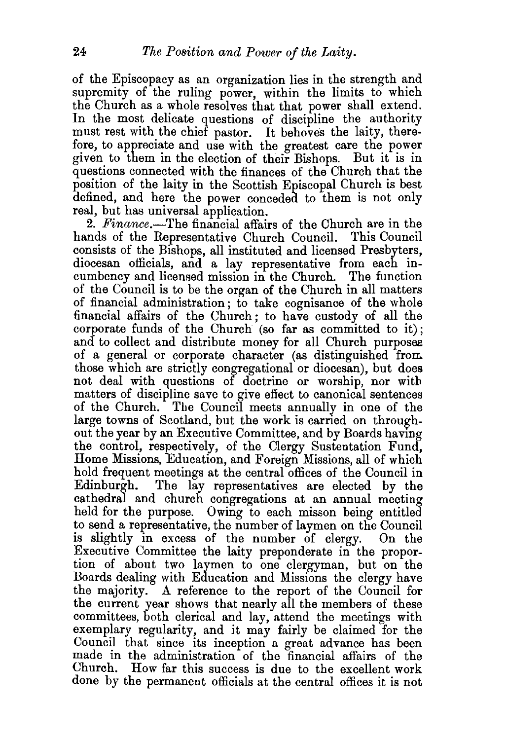of the Episcopacy as an organization lies in the strength and supremity of the ruling power, within the limits to which the Church as a whole resolves that that power shall extend. In the most delicate questions of discipline the authority must rest with the chief pastor. It behoves the laity, therefore, to appreciate and use with the greatest care the power given to them in the election of their Bishops. But it is in questions connected with the finances of the Church that the position of the laity in the Scottish Episcopal Church is best defined, and here the power conceded to them is not only real, but has universal application.

2. *Finance.-The* financial affairs of the Church are in the hands of the Representative Church Council. This Council consists of the Bishops, all instituted and licensed Presbyters, diocesan officials, and a lay representative from each incumbency and licensed mission in the Church. The function of the Council is to be the organ of the Church in all matters of financial administration; to take cognisance of the whole financial affairs of the Church; to have custody of all the corporate funds of the Church (so far as committed to it); and to collect and distribute money for all Church purposes of a general or corporate character (as distinguished from those which are strictly congregational or diocesan), but does not deal with questions of doctrine or worship, nor with matters of discipline save to give effect to canonical sentences of the Church. Tbe Council meets annually in one of the large towns of Scotland, but the work is carried on throughout the year by an Executive Committee, and by Boards having the control, respectively, of the Clergy Sustentation Fund, Home Missions, Education, and Foreign Missions, all of which hold frequent meetings at the central offices of the Council in Edinburgh. The lay representatives are elected by the The lay representatives are elected by the cathedral and church congregations at an annual meeting held for the purpose. Owing to each misson being entitled to send a representative, the number of laymen on the Council is slightly in excess of the number of clergy. On the Executive Committee the laity preponderate in the proportion of about two laymen to one clergyman, but on the Boards dealing with Education and Missions the clergy have the majority. A reference to the report of the Council for the current year shows that nearly all the members of these committees, both clerical and lay, attend the meetings with exemplary regularity, and it may fairly be claimed for the Council that since its inception a great advance has been made in the administration of the financial affairs of the Church. How far this success is due to the excellent work done by the permanent officials at the central offices it is not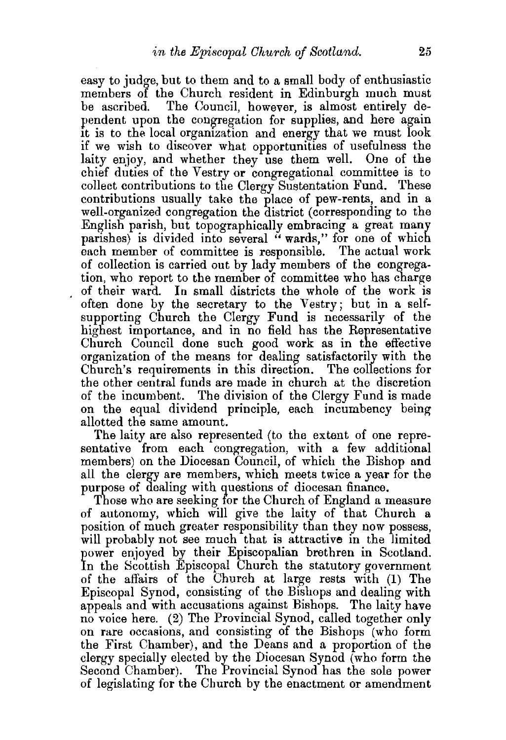easy to judge, but to them and to a small body of enthusiastic members of the Church resident in Edinburgh much must be ascribed. The Council, however, is almost entirely dependent upon the congregation for supplies, and here again it is to the local organization and energy that we must look if we wish to discover what opportunities of usefulness the laity enjoy, and whether they use them well. One of the chief duties of the Vestry or congregational committee is to collect contributions to the Clergy Sustentation Fund. These contributions usually take the place of pew-rents, and in a well-organized congregation the district (corresponding to the English parish, but topographically embracing a great many parishes) is divided into several "wards," for one of which each member of committee is responsible. The actual work of collection is carried out by lady members of the congregation, who report to the member of committee who has charge of their ward. In small districts the whole of the work is often done by the secretary to the Vestry; but in a selfsupporting Church the Clergy Fund is necessarily of the highest importance, and in no field has the Representative Church Council done such good work as in the effective organization of the means for dealing satisfactorily with the<br>Church's requirements in this direction. The collections for Church's requirements in this direction. the other central funds are made in church at the discretion of the incumbent. The division of the Clergy Fund is made on the equal dividend principle, each incumbency being allotted the same amount.

The laity are also represented (to the extent of one representative from each congregation, with a few additional members) on the Diocesan Council, of which the Bishop and all the clergy are members, which meets twice a year for the purpose of dealing with questions of diocesan finance.

Those who are seeking for the Church of England a measure of autonomy, which will give the laity of that Church a position of much greater responsibility than they now possess, will probably not see much that is attractive in the limited power enjoyed by their Episcopalian brethren in Scotland. In the Scottish Episcopal Church the statutory government of the affairs of the Church at large rests with (1) The Episcopal Synod, consisting of the Bishops and dealing with appeals and with accusations against Bishops. The laity have no voice here. (2) The Provincial Synod, called together only on rare occasions, and consisting of the Bishops (who form the First Chamber), and the Deans and a proportion of the clergy specially elected by the Diocesan Synod (who form the Second Chamber). The Provincial Synod has the sole power of legislating for the Church by the enactment or amendment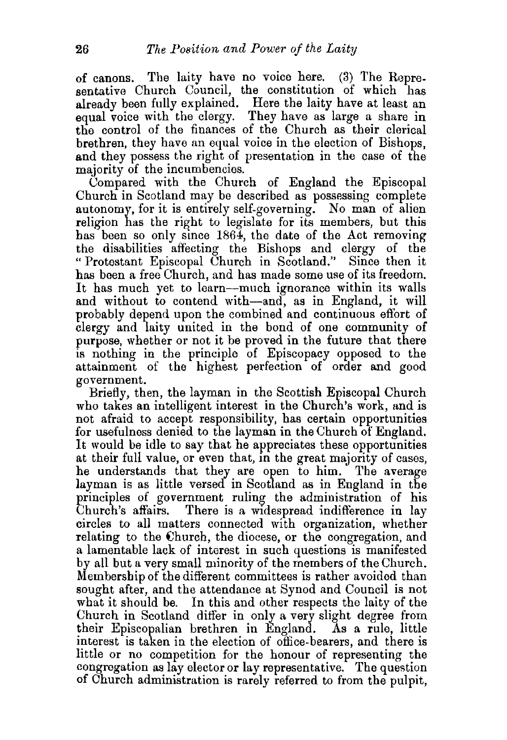of canons. The laity have no voice here.  $(3)$  The Representative Church Council, the constitution of which has already been fully explained. Here the laity have at least an equal voice with the clergy. They have as large a share in the control of the finances of the Church as their clerical brethren, they have an equal voice in the election of Bishops, and they possess the right of presentation in the case of the majority of the incumbencies.

Compared with the Church of England the Episcopal Church in Scotland may be described as possessing complete autonomy, for it is entirely self-governing. No man of alien religion has the right to legislate for its members, but this has been so only since  $1864$ , the date of the Act removing the disabilities affecting the Bishops and clergy of the "Protestant Episcopal Church in Scotland.'' Since then it has been a free Church, and has made some use of its freedom. It has much yet to learn—much ignorance within its walls and without to contend with-and, as in England, it will probably depend upon the combined and continuous effort of clergy and laity united in the bond of one community of purpose, whether or not it be proved in the future that there is nothing in the principle of Episcopacy opposed to the attainment of the highest perfection of order and good government.

Briefly, then, the layman in the Scottish Episcopal Church who takes an intelligent interest in the Church's work, and is not afraid to accept responsibility, has certain opportunities for usefulness denied to the layman in the Church of England. It would be idle to say that he appreciates these opportunities at their full value, or even that, in the great majority of cases, he understands that they are open to him. The average layman is as little versed in Scotland as in England in the principles of government ruling the administration of his Church's affairs. There is a widespread indifference in lav There is a widespread indifference in lay circles to all matters connected with organization, whether relating to the Church, the diocese, or the congregation, and a lamentable lack of interest in such questions is manifested by all but a very small minority of the members of the Church. Membership of the different committees is rather avoided than sought after, and the attendance at Synod and Council is not what it should be. In this and other respects the laity of the Church in Scotland differ in only a very slight degree from their Episcopalian brethren in England. As a rule, little interest is taken in the election of office-bearers, and there is little or no competition for the honour of representing the congregation as lay elector or lay representative. The question of Church administration is rarely referred to from the pulpit,